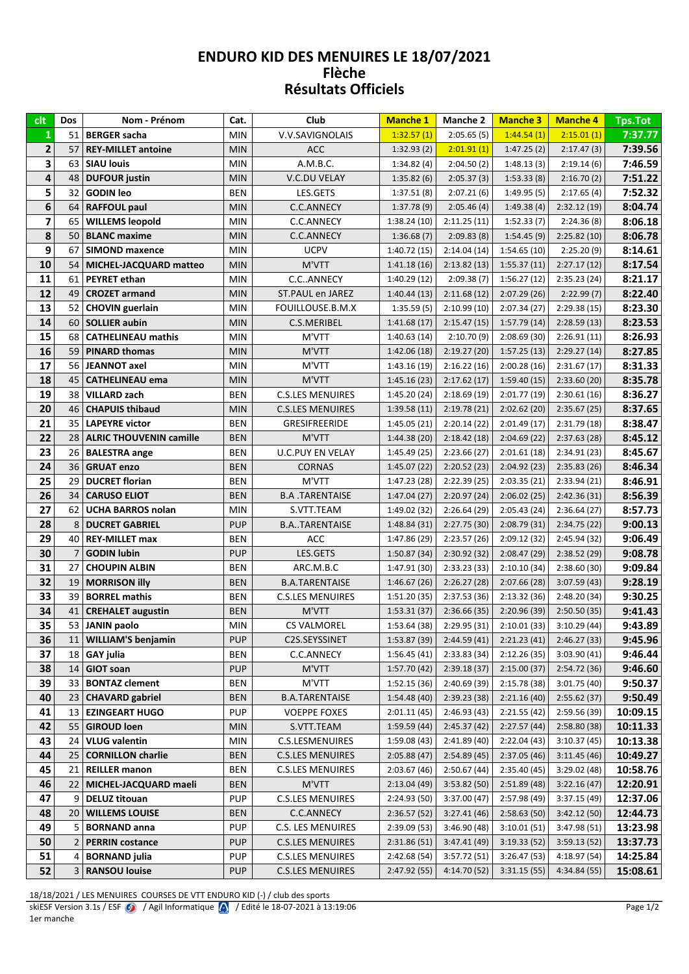## LINDONO NID DES MENOINES EL 10/07/2021 Flèche<br>Résultats Officiels

| clt                     | Dos            | Nom - Prénom                   | Cat.       | Club                    | <b>Manche 1</b> | <b>Manche 2</b> | <b>Manche 3</b> | <b>Manche 4</b> | <b>Tps.Tot</b> |
|-------------------------|----------------|--------------------------------|------------|-------------------------|-----------------|-----------------|-----------------|-----------------|----------------|
| $\mathbf{1}$            | 51             | <b>BERGER</b> sacha            | <b>MIN</b> | V.V.SAVIGNOLAIS         | 1:32.57(1)      | 2:05.65(5)      | 1:44.54(1)      | 2:15.01(1)      | 7:37.77        |
| $\mathbf 2$             | 57             | <b>REY-MILLET antoine</b>      | <b>MIN</b> | <b>ACC</b>              | 1:32.93(2)      | 2:01.91(1)      | 1:47.25(2)      | 2:17.47(3)      | 7:39.56        |
| 3                       | 63             | <b>SIAU louis</b>              | <b>MIN</b> | A.M.B.C.                | 1:34.82(4)      | 2:04.50(2)      | 1:48.13(3)      | 2:19.14(6)      | 7:46.59        |
| 4                       | 48             | <b>DUFOUR</b> justin           | <b>MIN</b> | V.C.DU VELAY            | 1:35.82(6)      | 2:05.37(3)      | 1:53.33(8)      | 2:16.70(2)      | 7:51.22        |
| 5                       | 32             | <b>GODIN</b> leo               | <b>BEN</b> | LES.GETS                | 1:37.51(8)      | 2:07.21(6)      | 1:49.95(5)      | 2:17.65(4)      | 7:52.32        |
| 6                       | 64             | <b>RAFFOUL paul</b>            | <b>MIN</b> | <b>C.C.ANNECY</b>       | 1:37.78(9)      | 2:05.46(4)      | 1:49.38(4)      | 2:32.12(19)     | 8:04.74        |
| $\overline{\mathbf{z}}$ | 65             | <b>WILLEMS leopold</b>         | <b>MIN</b> | C.C.ANNECY              | 1:38.24 (10)    | 2:11.25(11)     | 1:52.33(7)      | 2:24.36(8)      | 8:06.18        |
| 8                       | 50             | <b>BLANC</b> maxime            | <b>MIN</b> | C.C.ANNECY              | 1:36.68(7)      | 2:09.83(8)      | 1:54.45(9)      | 2:25.82(10)     | 8:06.78        |
| 9                       | 67             | <b>SIMOND maxence</b>          | <b>MIN</b> | <b>UCPV</b>             | 1:40.72(15)     | 2:14.04(14)     | 1:54.65(10)     | 2:25.20(9)      | 8:14.61        |
| 10                      | 54             | <b>MICHEL-JACQUARD matteo</b>  | <b>MIN</b> | M'VTT                   | 1:41.18(16)     | 2:13.82(13)     | 1:55.37(11)     | 2:27.17(12)     | 8:17.54        |
| 11                      | 61             | <b>PEYRET</b> ethan            | <b>MIN</b> | C.CANNECY               | 1:40.29(12)     | 2:09.38(7)      | 1:56.27(12)     | 2:35.23 (24)    | 8:21.17        |
| 12                      | 49             | <b>CROZET armand</b>           | <b>MIN</b> | ST.PAUL en JAREZ        | 1:40.44(13)     | 2:11.68(12)     | 2:07.29(26)     | 2:22.99(7)      | 8:22.40        |
| 13                      | 52             | <b>CHOVIN</b> guerlain         | <b>MIN</b> | FOUILLOUSE.B.M.X        | 1:35.59(5)      | 2:10.99(10)     | 2:07.34(27)     | 2:29.38(15)     | 8:23.30        |
| 14                      | 60             | <b>SOLLIER aubin</b>           | <b>MIN</b> | C.S.MERIBEL             | 1:41.68(17)     | 2:15.47(15)     | 1:57.79(14)     | 2:28.59(13)     | 8:23.53        |
| 15                      | 68             | <b>CATHELINEAU mathis</b>      | <b>MIN</b> | M'VTT                   | 1:40.63(14)     | 2:10.70(9)      | 2:08.69(30)     | 2:26.91(11)     | 8:26.93        |
| 16                      | 59             | <b>PINARD thomas</b>           | <b>MIN</b> | M'VTT                   | 1:42.06(18)     | 2:19.27(20)     | 1:57.25(13)     | 2:29.27(14)     | 8:27.85        |
| 17                      | 56             | <b>JEANNOT</b> axel            | <b>MIN</b> | M'VTT                   | 1:43.16(19)     | 2:16.22(16)     | 2:00.28(16)     | 2:31.67(17)     | 8:31.33        |
| 18                      | 45             | <b>CATHELINEAU ema</b>         | <b>MIN</b> | M'VTT                   | 1:45.16(23)     | 2:17.62(17)     | 1:59.40(15)     | 2:33.60(20)     | 8:35.78        |
| 19                      | 38             | <b>VILLARD zach</b>            | <b>BEN</b> | <b>C.S.LES MENUIRES</b> | 1:45.20(24)     | 2:18.69(19)     | 2:01.77(19)     | 2:30.61(16)     | 8:36.27        |
| 20                      | 46             | <b>CHAPUIS thibaud</b>         | <b>MIN</b> | <b>C.S.LES MENUIRES</b> | 1:39.58(11)     | 2:19.78(21)     | 2:02.62(20)     | 2:35.67(25)     | 8:37.65        |
| 21                      | 35             | <b>LAPEYRE victor</b>          | <b>BEN</b> | GRESIFREERIDE           | 1:45.05(21)     | 2:20.14(22)     | 2:01.49(17)     | 2:31.79(18)     | 8:38.47        |
| 22                      | 28             | <b>ALRIC THOUVENIN camille</b> | <b>BEN</b> | M'VTT                   | 1:44.38 (20)    | 2:18.42(18)     | 2:04.69(22)     | 2:37.63(28)     | 8:45.12        |
| 23                      | 26             | <b>BALESTRA</b> ange           | <b>BEN</b> | <b>U.C.PUY EN VELAY</b> | 1:45.49 (25)    | 2:23.66(27)     | 2:01.61(18)     | 2:34.91 (23)    | 8:45.67        |
| 24                      | 36             | <b>GRUAT enzo</b>              | <b>BEN</b> | <b>CORNAS</b>           | 1:45.07(22)     | 2:20.52(23)     | 2:04.92(23)     | 2:35.83(26)     | 8:46.34        |
| 25                      | 29             | <b>DUCRET florian</b>          | <b>BEN</b> | M'VTT                   | 1:47.23 (28)    | 2:22.39(25)     | 2:03.35(21)     | 2:33.94(21)     | 8:46.91        |
| 26                      | 34             | <b>CARUSO ELIOT</b>            | <b>BEN</b> | <b>B.A.TARENTAISE</b>   | 1:47.04(27)     | 2:20.97(24)     | 2:06.02(25)     | 2:42.36(31)     | 8:56.39        |
| 27                      | 62             | <b>UCHA BARROS nolan</b>       | <b>MIN</b> | S.VTT.TEAM              | 1:49.02 (32)    | 2:26.64(29)     | 2:05.43 (24)    | 2:36.64(27)     | 8:57.73        |
| 28                      | 8              | <b>DUCRET GABRIEL</b>          | <b>PUP</b> | <b>B.ATARENTAISE</b>    | 1:48.84(31)     | 2:27.75(30)     | 2:08.79(31)     | 2:34.75(22)     | 9:00.13        |
| 29                      | 40             | <b>REY-MILLET max</b>          | <b>BEN</b> | ACC                     | 1:47.86 (29)    | 2:23.57(26)     | 2:09.12(32)     | 2:45.94 (32)    | 9:06.49        |
| 30                      | 7              | <b>GODIN</b> lubin             | <b>PUP</b> | LES.GETS                | 1:50.87(34)     | 2:30.92(32)     | 2:08.47(29)     | 2:38.52(29)     | 9:08.78        |
| 31                      | 27             | <b>CHOUPIN ALBIN</b>           | <b>BEN</b> | ARC.M.B.C               | 1:47.91 (30)    | 2:33.23(33)     | 2:10.10(34)     | 2:38.60(30)     | 9:09.84        |
| 32                      | 19             | <b>MORRISON Illy</b>           | <b>BEN</b> | <b>B.A.TARENTAISE</b>   | 1:46.67(26)     | 2:26.27(28)     | 2:07.66(28)     | 3:07.59(43)     | 9:28.19        |
| 33                      | 39             | <b>BORREL mathis</b>           | <b>BEN</b> | <b>C.S.LES MENUIRES</b> | 1:51.20(35)     | 2:37.53(36)     | 2:13.32(36)     | 2:48.20 (34)    | 9:30.25        |
| 34                      | 41             | <b>CREHALET augustin</b>       | <b>BEN</b> | M'VTT                   | 1:53.31(37)     | 2:36.66(35)     | 2:20.96(39)     | 2:50.50(35)     | 9:41.43        |
| 35                      | 53             | <b>JANIN</b> paolo             | <b>MIN</b> | CS VALMOREL             | 1:53.64(38)     | 2:29.95(31)     | 2:10.01(33)     | 3:10.29(44)     | 9:43.89        |
| 36                      | 11             | <b>WILLIAM'S benjamin</b>      | <b>PUP</b> | C2S.SEYSSINET           | 1:53.87 (39)    | 2:44.59(41)     | 2:21.23(41)     | 2:46.27(33)     | 9:45.96        |
| 37                      | 18             | <b>GAY julia</b>               | <b>BEN</b> | C.C.ANNECY              | 1:56.45(41)     | 2:33.83 (34)    | 2:12.26(35)     | 3:03.90 (41)    | 9:46.44        |
| 38                      | 14             | <b>GIOT soan</b>               | <b>PUP</b> | M'VTT                   | 1:57.70 (42)    | 2:39.18(37)     | 2:15.00(37)     | 2:54.72(36)     | 9:46.60        |
| 39                      | 33             | <b>BONTAZ clement</b>          | BEN        | M'VTT                   | 1:52.15 (36)    | 2:40.69 (39)    | 2:15.78(38)     | 3:01.75 (40)    | 9:50.37        |
| 40                      | 23             | <b>CHAVARD</b> gabriel         | <b>BEN</b> | <b>B.A.TARENTAISE</b>   | 1:54.48(40)     | 2:39.23(38)     | 2:21.16(40)     | 2:55.62(37)     | 9:50.49        |
| 41                      | 13             | <b>EZINGEART HUGO</b>          | <b>PUP</b> | <b>VOEPPE FOXES</b>     | 2:01.11(45)     | 2:46.93(43)     | 2:21.55(42)     | 2:59.56 (39)    | 10:09.15       |
| 42                      | 55             | <b>GIROUD loen</b>             | <b>MIN</b> | S.VTT.TEAM              | 1:59.59 (44)    | 2:45.37(42)     | 2:27.57(44)     | 2:58.80 (38)    | 10:11.33       |
| 43                      | 24             | <b>VLUG valentin</b>           | MIN        | C.S.LESMENUIRES         | 1:59.08(43)     | 2:41.89(40)     | 2:22.04(43)     | 3:10.37(45)     | 10:13.38       |
| 44                      | 25             | <b>CORNILLON charlie</b>       | <b>BEN</b> | <b>C.S.LES MENUIRES</b> | 2:05.88(47)     | 2:54.89(45)     | 2:37.05(46)     | 3:11.45(46)     | 10:49.27       |
| 45                      | 21             | <b>REILLER</b> manon           | <b>BEN</b> | <b>C.S.LES MENUIRES</b> | 2:03.67(46)     | 2:50.67(44)     | 2:35.40(45)     | 3:29.02 (48)    | 10:58.76       |
| 46                      | 22             | MICHEL-JACQUARD maeli          | <b>BEN</b> | M'VTT                   | 2:13.04(49)     | 3:53.82(50)     | 2:51.89(48)     | 3:22.16(47)     | 12:20.91       |
| 47                      | 9              | <b>DELUZ titouan</b>           | <b>PUP</b> | <b>C.S.LES MENUIRES</b> | 2:24.93 (50)    | 3:37.00(47)     | 2:57.98 (49)    | 3:37.15 (49)    | 12:37.06       |
| 48                      | 20             | <b>WILLEMS LOUISE</b>          | <b>BEN</b> | C.C.ANNECY              | 2:36.57(52)     | 3:27.41(46)     | 2:58.63(50)     | 3:42.12(50)     | 12:44.73       |
| 49                      | 5              | <b>BORNAND</b> anna            | <b>PUP</b> | C.S. LES MENUIRES       | 2:39.09 (53)    | 3:46.90(48)     | 3:10.01(51)     | 3:47.98 (51)    | 13:23.98       |
| 50                      | $\overline{2}$ | <b>PERRIN</b> costance         | <b>PUP</b> | <b>C.S.LES MENUIRES</b> | 2:31.86(51)     | 3:47.41(49)     | 3:19.33(52)     | 3:59.13(52)     | 13:37.73       |
| 51                      | 4              | <b>BORNAND</b> julia           | <b>PUP</b> | <b>C.S.LES MENUIRES</b> | 2:42.68 (54)    | 3:57.72(51)     | 3:26.47 (53)    | 4:18.97 (54)    | 14:25.84       |
| 52                      | 3              | <b>RANSOU louise</b>           | <b>PUP</b> | <b>C.S.LES MENUIRES</b> | 2:47.92 (55)    | 4:14.70(52)     | 3:31.15(55)     | 4:34.84 (55)    | 15:08.61       |

18/18/2021 / LES MENUIRES COURSES DE VTT ENDURO KID (-) / club des sports<br>skiESF Version 3.1s / ESF  $\bullet$  / Agil Informatique  $\bullet$  / Edité le 18-07-2021 à 13:19:06 1er manche